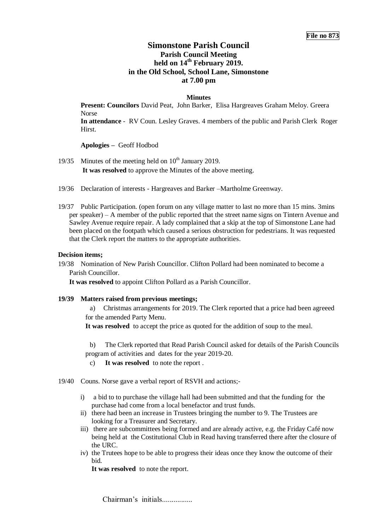# **Simonstone Parish Council Parish Council Meeting held on 14 th February 2019. in the Old School, School Lane, Simonstone at 7.00 pm**

### **Minutes**

**Present: Councilors** David Peat, John Barker, Elisa Hargreaves Graham Meloy. Greera Norse

**In attendance** - RV Coun. Lesley Graves. 4 members of the public and Parish Clerk Roger Hirst.

**Apologies –** Geoff Hodbod

- 19/35 Minutes of the meeting held on  $10^{th}$  January 2019. **It was resolved** to approve the Minutes of the above meeting.
- 19/36 Declaration of interests Hargreaves and Barker –Martholme Greenway.
- 19/37 Public Participation. (open forum on any village matter to last no more than 15 mins. 3mins per speaker) – A member of the public reported that the street name signs on Tintern Avenue and Sawley Avenue require repair. A lady complained that a skip at the top of Simonstone Lane had been placed on the footpath which caused a serious obstruction for pedestrians. It was requested that the Clerk report the matters to the appropriate authorities.

#### **Decision items;**

19/38 Nomination of New Parish Councillor. Clifton Pollard had been nominated to become a Parish Councillor.

**It was resolved** to appoint Clifton Pollard as a Parish Councillor.

**19/39 Matters raised from previous meetings;** 

a) Christmas arrangements for 2019. The Clerk reported that a price had been agreeed for the amended Party Menu.

**It was resolved** to accept the price as quoted for the addition of soup to the meal.

b) The Clerk reported that Read Parish Council asked for details of the Parish Councils program of activities and dates for the year 2019-20.

- c) **It was resolved** to note the report .
- 19/40 Couns. Norse gave a verbal report of RSVH and actions;
	- i) a bid to to purchase the village hall had been submitted and that the funding for the purchase had come from a local benefactor and trust funds.
	- ii) there had been an increase in Trustees bringing the number to 9. The Trustees are looking for a Treasurer and Secretary.
	- iii) there are subcommittees being formed and are already active, e.g. the Friday Café now being held at the Costitutional Club in Read having transferred there after the closure of the URC.
	- iv) the Trutees hope to be able to progress their ideas once they know the outcome of their bid.

**It was resolved** to note the report.

Chairman's initials.................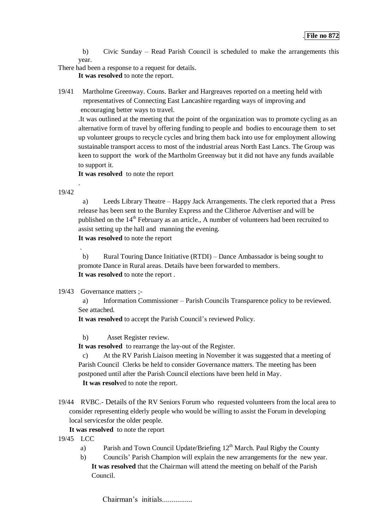b) Civic Sunday – Read Parish Council is scheduled to make the arrangements this year.

There had been a response to a request for details.

**It was resolved** to note the report.

19/41 Martholme Greenway. Couns. Barker and Hargreaves reported on a meeting held with representatives of Connecting East Lancashire regarding ways of improving and encouraging better ways to travel.

.It was outlined at the meeting that the point of the organization was to promote cycling as an alternative form of travel by offering funding to people and bodies to encourage them to set up volunteer groups to recycle cycles and bring them back into use for employment allowing sustainable transport access to most of the industrial areas North East Lancs. The Group was keen to support the work of the Martholm Greenway but it did not have any funds available to support it.

**It was resolved** to note the report

19/42

.

.

a) Leeds Library Theatre – Happy Jack Arrangements. The clerk reported that a Press release has been sent to the Burnley Express and the Clitheroe Advertiser and will be published on the 14<sup>th</sup> February as an article., A number of volunteers had been recruited to assist setting up the hall and manning the evening. **It was resolved** to note the report

b) Rural Touring Dance Initiative (RTDI) – Dance Ambassador is being sought to promote Dance in Rural areas. Details have been forwarded to members. **It was resolved** to note the report .

# 19/43 Governance matters ;-

a) Information Commissioner – Parish Councils Transparence policy to be reviewed. See attached.

**It was resolved** to accept the Parish Council's reviewed Policy.

b) Asset Register review.

**It was resolved** to rearrange the lay-out of the Register.

c) At the RV Parish Liaison meeting in November it was suggested that a meeting of Parish Council Clerks be held to consider Governance matters. The meeting has been postponed until after the Parish Council elections have been held in May. **It was resolv**ed to note the report.

19/44 RVBC.- Details of the RV Seniors Forum who requested volunteers from the local area to consider representing elderly people who would be willing to assist the Forum in developing local servicesfor the older people.

**It was resolved** to note the report

- 19/45 LCC
	- a) Parish and Town Council Update/Briefing  $12<sup>th</sup>$  March. Paul Rigby the County
	- b) Councils' Parish Champion will explain the new arrangements for the new year. **It was resolved** that the Chairman will attend the meeting on behalf of the Parish Council.

Chairman's initials.................